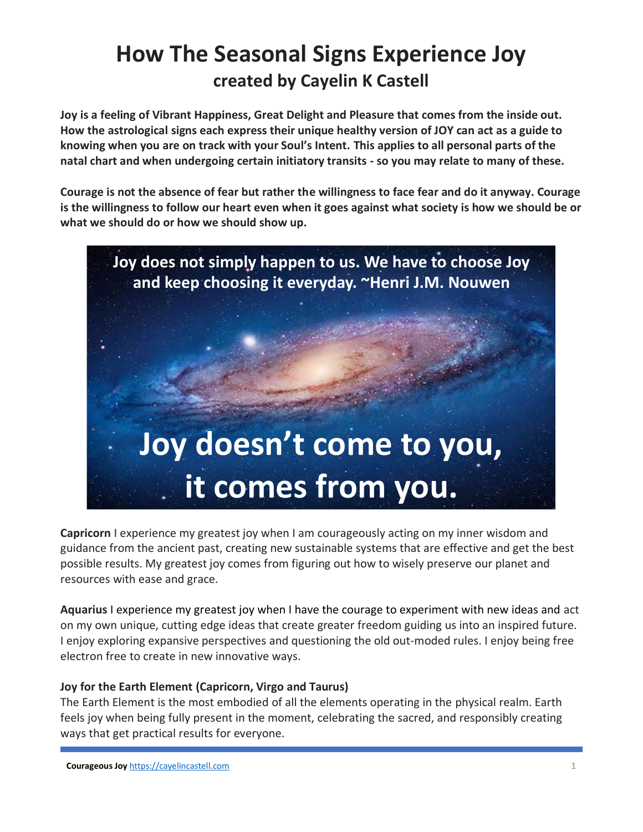# **How The Seasonal Signs Experience Joy created by Cayelin K Castell**

**Joy is a feeling of Vibrant Happiness, Great Delight and Pleasure that comes from the inside out. How the astrological signs each express their unique healthy version of JOY can act as a guide to knowing when you are on track with your Soul's Intent. This applies to all personal parts of the natal chart and when undergoing certain initiatory transits - so you may relate to many of these.**

**Courage is not the absence of fear but rather the willingness to face fear and do it anyway. Courage is the willingness to follow our heart even when it goes against what society is how we should be or what we should do or how we should show up.**



**Capricorn** I experience my greatest joy when I am courageously acting on my inner wisdom and guidance from the ancient past, creating new sustainable systems that are effective and get the best possible results. My greatest joy comes from figuring out how to wisely preserve our planet and resources with ease and grace.

**Aquarius** I experience my greatest joy when I have the courage to experiment with new ideas and act on my own unique, cutting edge ideas that create greater freedom guiding us into an inspired future. I enjoy exploring expansive perspectives and questioning the old out-moded rules. I enjoy being free electron free to create in new innovative ways.

### **Joy for the Earth Element (Capricorn, Virgo and Taurus)**

The Earth Element is the most embodied of all the elements operating in the physical realm. Earth feels joy when being fully present in the moment, celebrating the sacred, and responsibly creating ways that get practical results for everyone.

**Courageous Joy** [https://cayelincastell.com](https://cayelincastell.com/) 1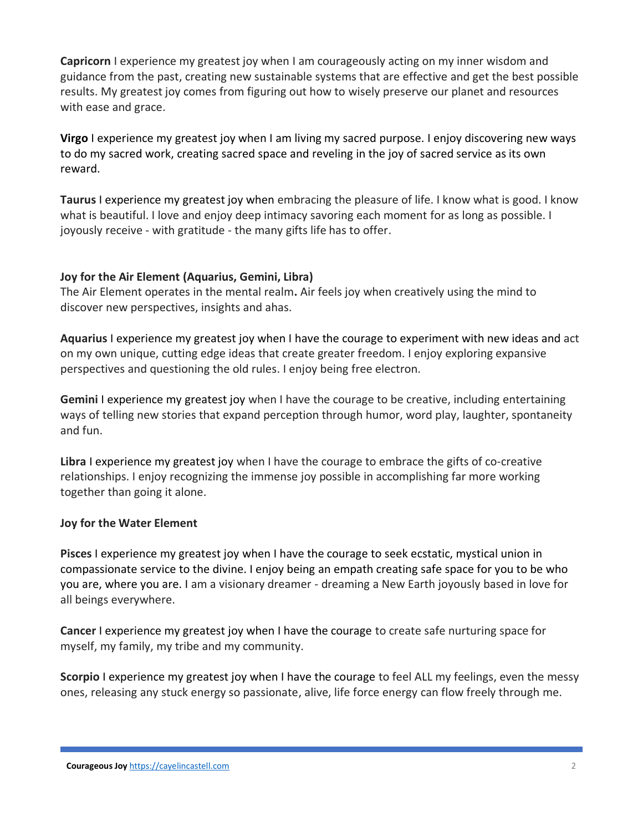**Capricorn** I experience my greatest joy when I am courageously acting on my inner wisdom and guidance from the past, creating new sustainable systems that are effective and get the best possible results. My greatest joy comes from figuring out how to wisely preserve our planet and resources with ease and grace.

**Virgo** I experience my greatest joy when I am living my sacred purpose. I enjoy discovering new ways to do my sacred work, creating sacred space and reveling in the joy of sacred service as its own reward.

**Taurus** I experience my greatest joy when embracing the pleasure of life. I know what is good. I know what is beautiful. I love and enjoy deep intimacy savoring each moment for as long as possible. I joyously receive - with gratitude - the many gifts life has to offer.

### **Joy for the Air Element (Aquarius, Gemini, Libra)**

The Air Element operates in the mental realm**.** Air feels joy when creatively using the mind to discover new perspectives, insights and ahas.

**Aquarius** I experience my greatest joy when I have the courage to experiment with new ideas and act on my own unique, cutting edge ideas that create greater freedom. I enjoy exploring expansive perspectives and questioning the old rules. I enjoy being free electron.

**Gemini** I experience my greatest joy when I have the courage to be creative, including entertaining ways of telling new stories that expand perception through humor, word play, laughter, spontaneity and fun.

**Libra** I experience my greatest joy when I have the courage to embrace the gifts of co-creative relationships. I enjoy recognizing the immense joy possible in accomplishing far more working together than going it alone.

### **Joy for the Water Element**

**Pisces** I experience my greatest joy when I have the courage to seek ecstatic, mystical union in compassionate service to the divine. I enjoy being an empath creating safe space for you to be who you are, where you are. I am a visionary dreamer - dreaming a New Earth joyously based in love for all beings everywhere.

**Cancer** I experience my greatest joy when I have the courage to create safe nurturing space for myself, my family, my tribe and my community.

**Scorpio** I experience my greatest joy when I have the courage to feel ALL my feelings, even the messy ones, releasing any stuck energy so passionate, alive, life force energy can flow freely through me.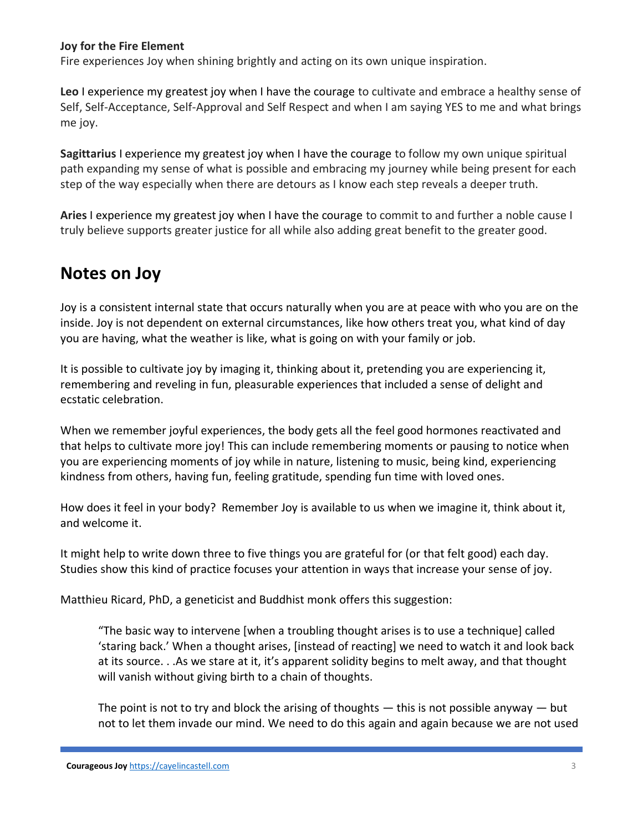#### **Joy for the Fire Element**

Fire experiences Joy when shining brightly and acting on its own unique inspiration.

**Leo** I experience my greatest joy when I have the courage to cultivate and embrace a healthy sense of Self, Self-Acceptance, Self-Approval and Self Respect and when I am saying YES to me and what brings me joy.

**Sagittarius** I experience my greatest joy when I have the courage to follow my own unique spiritual path expanding my sense of what is possible and embracing my journey while being present for each step of the way especially when there are detours as I know each step reveals a deeper truth.

**Aries** I experience my greatest joy when I have the courage to commit to and further a noble cause I truly believe supports greater justice for all while also adding great benefit to the greater good.

## **Notes on Joy**

Joy is a consistent internal state that occurs naturally when you are at peace with who you are on the inside. Joy is not dependent on external circumstances, like how others treat you, what kind of day you are having, what the weather is like, what is going on with your family or job.

It is possible to cultivate joy by imaging it, thinking about it, pretending you are experiencing it, remembering and reveling in fun, pleasurable experiences that included a sense of delight and ecstatic celebration.

When we remember joyful experiences, the body gets all the feel good hormones reactivated and that helps to cultivate more joy! This can include remembering moments or pausing to notice when you are experiencing moments of joy while in nature, listening to music, being kind, experiencing kindness from others, having fun, feeling gratitude, spending fun time with loved ones.

How does it feel in your body? Remember Joy is available to us when we imagine it, think about it, and welcome it.

It might help to write down three to five things you are grateful for (or that felt good) each day. Studies show this kind of practice focuses your attention in ways that increase your sense of joy.

Matthieu Ricard, PhD, a geneticist and Buddhist monk offers this suggestion:

"The basic way to intervene [when a troubling thought arises is to use a technique] called 'staring back.' When a thought arises, [instead of reacting] we need to watch it and look back at its source. . .As we stare at it, it's apparent solidity begins to melt away, and that thought will vanish without giving birth to a chain of thoughts.

The point is not to try and block the arising of thoughts  $-$  this is not possible anyway  $-$  but not to let them invade our mind. We need to do this again and again because we are not used